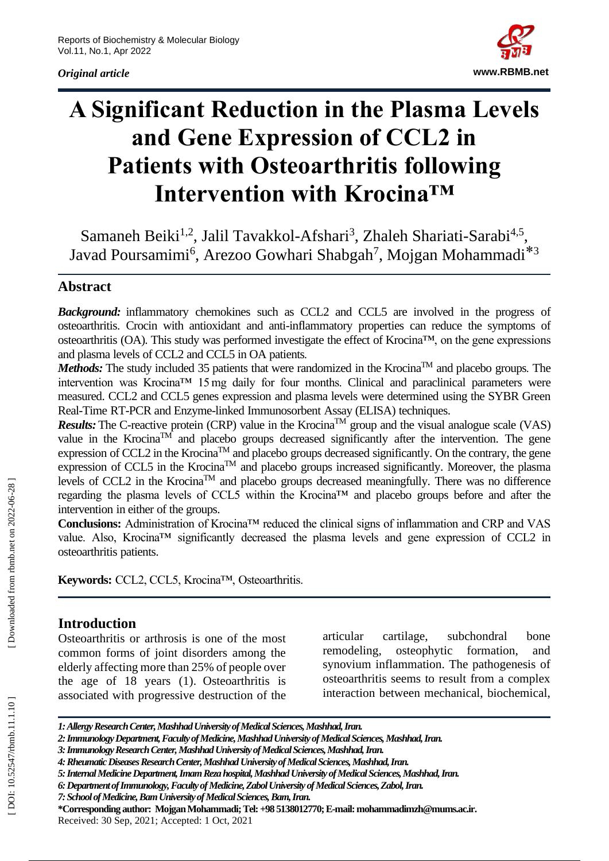*Original article*



# **A Significant Reduction in the Plasma Levels and Gene Expression of CCL2 in Patients with Osteoarthritis following Intervention with Krocina™**

Samaneh Beiki<sup>1,2</sup>, Jalil Tavakkol-Afshari<sup>3</sup>, Zhaleh Shariati-Sarabi<sup>4,5</sup>, Javad Poursamimi<sup>6</sup>, Arezoo Gowhari Shabgah<sup>7</sup>, Mojgan Mohammadi<sup>\*3</sup>

## **Abstract**

**Background:** inflammatory chemokines such as CCL2 and CCL5 are involved in the progress of osteoarthritis. Crocin with antioxidant and anti -inflammatory properties can reduce the symptoms of osteoarthritis (OA). This study was performed investigate the effect of Krocina™, on the gene expressions and plasma levels of CCL2 and CCL5 in OA patients.

*Methods:* The study included 35 patients that were randomized in the Krocina™ and placebo groups. The intervention was Krocina™ 15 mg daily for four months. Clinical and paraclinical parameters were measured. CCL2 and CCL5 genes expression and plasma levels were determined using the SYBR Green Real -Time RT -PCR and Enzyme -linked Immunosorbent Assay (ELISA) techniques.

*Results:* The C-reactive protein (CRP) value in the Krocina<sup>TM</sup> group and the visual analogue scale (VAS) value in the Krocina<sup>TM</sup> and placebo groups decreased significantly after the intervention. The gene expression of CCL2 in the Krocina<sup>TM</sup> and placebo groups decreased significantly. On the contrary, the gene expression of CCL5 in the Krocina<sup>TM</sup> and placebo groups increased significantly. Moreover, the plasma levels of CCL2 in the KrocinaTM and placebo groups decreased meaningfully. There was no difference regarding the plasma levels of CCL5 within the Krocina™ and placebo groups before and after the intervention in either of the groups.

**Conclusions:** Administration of Krocina™ reduced the clinical signs of inflammation and CRP and VAS value. Also, Krocina™ significantly decreased the plasma levels and gene expression of CCL2 in osteoarthritis patients.

**Keywords :** CCL2, CCL5, Krocina™, Osteoarthritis.

### **Introduction**

Osteoarthritis or arthrosis is one of the most common forms of joint disorders among the elderly affecting more than 25% of people over the age of 18 years (1) . Osteoarthritis is associated wit h progressive destruction of the articular cartilage, subchondral bone remodeling, osteophytic formation, and synovium inflammation. The pathogenesis of osteoarthritis seems to result from a complex interaction between mechanical, biochemical,

**\*Corresponding author: Mojgan Mohammadi; Tel: +98 5138012770; E -mail[: mohammadimzh@mums.ac.ir.](mailto:mohammadimzh@mums.ac.ir)** Received: 30 Sep , 202 1; Accepted: 1 Oct, 202 1

*<sup>1:</sup> Allergy Research Center, Mashhad University of Medical Sciences, Mashhad, Iran.*

*<sup>2:</sup> Immunology Department, Faculty of Medicine, Mashhad University of Medical Sciences, Mashhad, Iran.*

*<sup>3:</sup> Immunology Research Center, Mashhad University of Medical Sciences, Mashhad, Iran.*

*<sup>4:</sup> Rheumatic Diseases Research Center, Mashhad University of Medical Sciences, Mashhad, Iran.*

*<sup>5:</sup> Internal Medicine Department, Imam Reza hospital, Mashhad University of Medical Sciences, Mashhad, Iran.*

*<sup>6:</sup>Department ofImmunology, Faculty of Medicine, Zabol University of Medical Sciences, Zabol, Iran.*

*<sup>7:</sup> School of Medicine, Bam University of Medical Sciences, Bam, Iran.*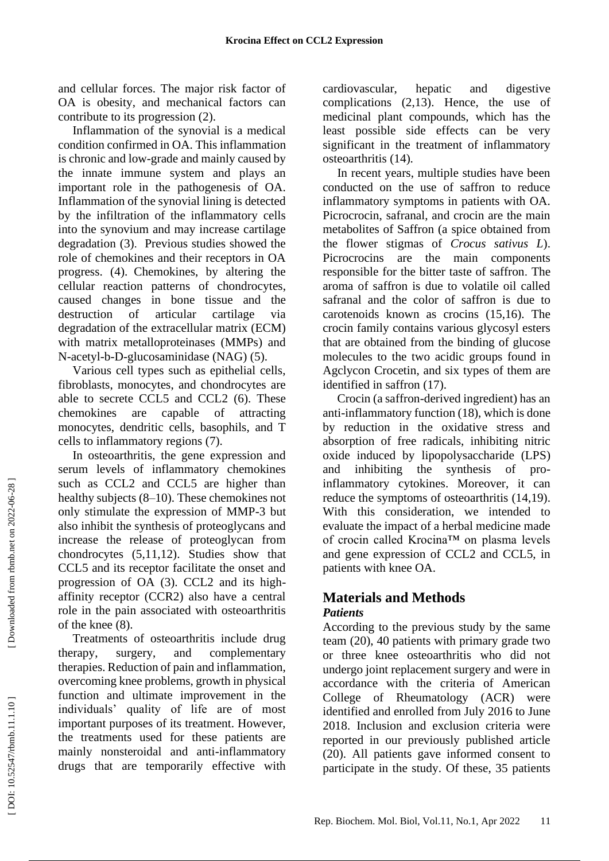and cellular forces. The major risk factor of OA is obesity, and mechanical factors can contribute to its progression (2) .

Inflammation of the synovial is a medical condition confirmed in OA. This inflammation is chronic and low -grade and mainly caused by the innate immune system and plays an important role in the pathogenesis of OA. Inflammation of the synovial lining is detected by the infiltration of the inflammatory cells into the synovium and may increase cartilage degradation (3) . Previous studies showed the role of chemokines and their receptors in OA progress. (4) . Chemokines, by altering the cellular reaction patterns of chondrocytes, caused changes in bone tissue and the destruction of articular cartilage via degradation of the extracellular matrix (ECM) with matrix metalloproteinases (MMPs) and N-acetyl-b-D-glucosaminidase (NAG) (5).

Various cell types such as epithelial cells, fibroblasts, monocytes, and chondrocytes are able to secrete CCL5 and CCL2 (6). These chemokines are capable of attracting monocytes, dendritic cells, basophils, and T cells to inflammatory regions (7) .

In osteoarthritis, the gene expression and serum levels of inflammatory chemokines such as CCL2 and CCL5 are higher than healthy subjects (8 –10). These chemokines not only stimulate the expression of MMP -3 but also inhibit the synthesis of proteoglycans and increase the release of proteoglycan from chondrocytes (5,11,12). Studies show that CCL5 and its receptor facilitate the onset and progression of OA (3). CCL2 and its high affinity receptor (CCR2) also have a central role in the pain associated with osteoarthritis of the knee (8) .

Treatments of osteoarthritis include drug therapy, surgery, and complementary therapies. Reduction of pain and inflammation, overcoming knee problems, growth in physical function and ultimate improvement in the individuals' quality of life are of most important purposes of its treatment. However, the treatments used for these patients are mainly nonsteroidal and anti -inflammatory drugs that are temporarily effective with

cardiovascular, hepatic and digestive complications (2,13). Hence, the use of medicinal plant compounds, which has the least possible side effects can be very significant in the treatment of inflammatory osteoarthritis (14) .

In recent years, multiple studies have been conducted on the use of saffron to reduce inflammatory symptoms in patients with OA. Picrocrocin, safranal, and crocin are the main metabolites of Saffron (a spice obtained from the flower stigmas of *Crocus sativus L*). Picrocrocins are the main components responsible for the bitter taste of saffron . The aroma of saffron is due to volatile oil called safranal and the color of saffron is due to carotenoids known as crocins (15,16). The crocin family contains various glycosyl esters that are obtained from the binding of glucose molecules to the two acidic groups found in Agclycon Crocetin, and six types of them are identified in saffron (17) .

Crocin (a saffron -derived ingredient) has an anti -inflammatory function (18), which is done by reduction in the oxidative stress and absorption of free radicals, inhibiting nitric oxide induced by lipopolysaccharide (LPS) and inhibiting the synthesis of pro inflammatory cytokines. Moreover, it can reduce the symptoms of osteoarthritis (14,19). With this consideration, we intended to evaluate the impact of a herbal medicine made of crocin called Krocina™ on plasma levels and gene expression of CCL2 and CCL5, in patients with knee OA.

#### **Materials and Methods** *Patients*

According to the previous study by the same team (20), 40 patients with primary grade two or three knee osteoarthritis who did not undergo joint replacement surgery and were in accordance with the criteria of American College of Rheumatology (ACR) were identified and enrolled from July 2016 to June 2018. Inclusion and exclusion criteria were reported in our previously published article (20). All patients gave informed consent to participate in the study. Of these, 35 patients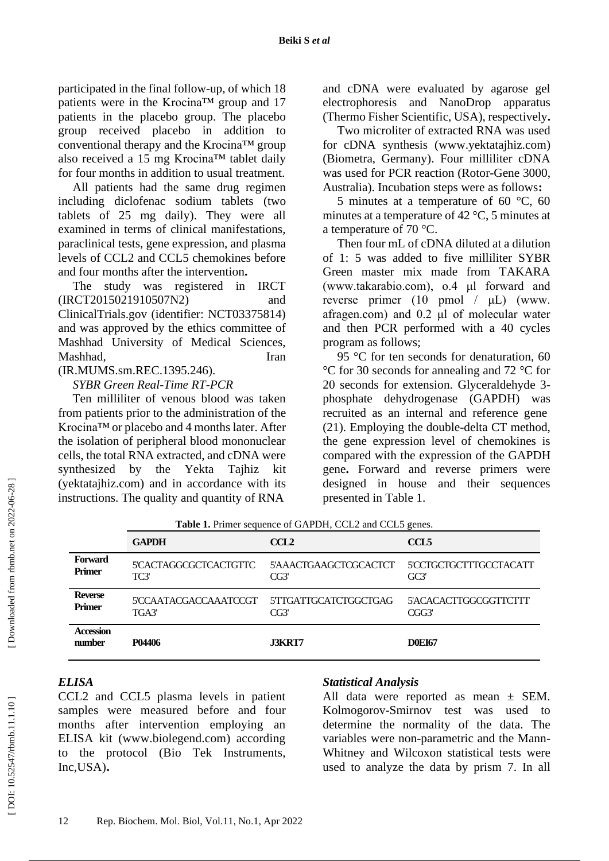participated in the final follow -up, of which 18 patients were in the Krocina™ group and 17 patients in the placebo group. The placebo group received placebo in addition to conventional therapy and the Krocina™ group also received a 15 mg Krocina™ tablet daily for four months in addition to usual treatment.

All patients had the same drug regimen including diclofenac sodium tablets (two tablets of 25 mg daily). They were all examined in terms of clinical manifestations, paraclinical tests, gene expression, and plasma levels of CCL2 and CCL5 chemokines before and four months after the intervention **.**

The study was registered in IRCT (IRCT2015021910507N2) and ClinicalTrials.gov (identifier: NCT03375814) and was approved by the ethics committee of Mashhad University of Medical Sciences, Mashhad, Iran

(IR.MUMS.sm.REC.1395.246).

#### *SYBR Green Real -Time RT-PCR*

Tenmilliliter of venous blood was taken from patients prior to the administration of the Krocina™ or placebo and 4 months later. After the isolation of peripheral blood mononuclear cells, the total RNA extracted, and cDNA were synthesized by the Yekta Tajhiz kit (yektatajhiz.com) and in accordance with its instructions. The quality and quantity of RNA

and cDNA were evaluated by agarose gel electrophoresis and NanoDrop apparatus (Thermo Fisher Scientific, USA), respectively **.**

Twomicroliter of extracted RNA was used for cDNA synthesis [\(www.yektatajhiz.com\)](http://www.yektatajhiz.com/) (Biometra, Germany). Four milliliter cDNA was used for PCR reaction (Rotor-Gene 3000, Australia). Incubation steps were as follows:

5 minutes at a temperature of 60 °C, 60 minutes at a temperature of 42  $\degree$ C, 5 minutes at a temperature of 70 °C.

Then four mL of cDNA diluted at a dilution of 1: 5 was added to five milliliter SYBR Green master mix made from TAKARA (www.takarabio.com), o.4 μl forward and reverse primer (10 pmol / μL) (www. afragen.com) and 0.2 μl of molecular water and then PCR performed with a 40 cycles program as follows;

95 °C for ten seconds for denaturation, 60 °C for 30 seconds for annealing and 72 °C for 20 seconds for extension. Glyceraldehyde 3 phosphate dehydrogenase(GAPDH)was recruited as an internal and reference gene (21). Employing the double-delta CT method, the gene expression level of chemokines is compared with the expression of the GAPDH gene **.** Forward and reverse primers were designed in house and their sequences presented in Table 1.

|                            | <b>GAPDH</b>          | CCL <sub>2</sub>      | CCL <sub>5</sub>      |
|----------------------------|-----------------------|-----------------------|-----------------------|
| <b>Forward</b>             | 5'CACTAGGCGCTCACTGTTC | 5'AAACTGAAGCTCGCACTCT | 5CCTGCTGCTTTGCCTACATT |
| <b>Primer</b>              | TC3'                  | CG3'                  | G <sub>C3'</sub>      |
| <b>Reverse</b>             | 5'CCAATACGACCAAATCCGT | 5TTGATTGCATCTGGCTGAG  | 5'ACACACTTGGCGGTTCTTT |
| <b>Primer</b>              | TGA3'                 | CG3'                  | CGG3'                 |
| <b>Accession</b><br>number | P04406                | <b>J3KRT7</b>         | <b>DOEI67</b>         |

**Table 1 .** Primer sequence of GAPDH, CCL2 and CCL5 genes.

## *ELISA*

CCL2 and CCL5 plasma levels in patient samples were measured before and four months after intervention employing an ELISA kit (www.biolegend.com) according to the protocol (Bio Tek Instruments, Inc, USA).

#### *Statistical Analysis*

All data were reported as mean ± SEM. Kolmogorov -Smirnov test was used to determine the normality of the data. The variables were non -parametric and the Mann - Whitney and Wilcoxon statistical tests were used to analyze the data by prism 7. In all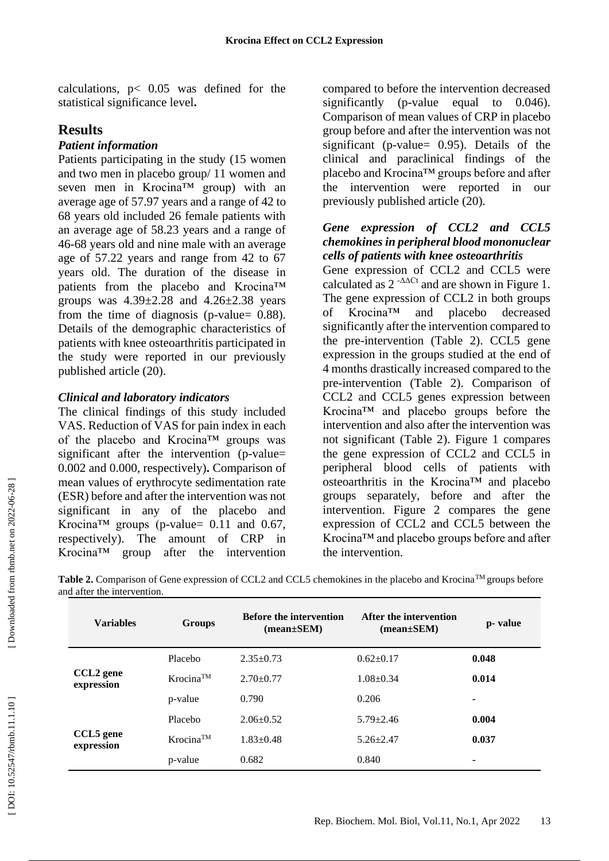calculations,  $p < 0.05$  was defined for the statistical significance level **.**

## **Results**

#### *Patient information*

Patients participating in the study (15 women and two men in placebo group/ 11 women and seven men in Krocina™ group) with an average age of 57.97 years and a range of 42 to 68 years old included 26 female patients with an average age of 58.23 years and a range of 46 -68 years old and nine male with an average age of 57.22 years and range from 42 to 67 years old. The duration of the disease in patients from the placebo and Krocina™ groups was  $4.39\pm2.28$  and  $4.26\pm2.38$  years from the time of diagnosis (p-value= 0.88). Details of the demographic characteristics of patients with knee osteoarthritis participated in the study were reported in our previously published article (20) .

### *Clinical and laboratory indicators*

The clinical findings of this study included VAS. Reduction of VAS for pain index in each of the placebo and Krocina™ groups was significant after the intervention (p-value= 0.002 and 0.000, respectively) **.** Comparison of mean values of erythrocyte sedimentation rate (ESR) before and after the intervention was not significant in any of the placebo and Krocina<sup>TM</sup> groups (p-value=  $0.11$  and  $0.67$ , respectively). The amount of CRP in Krocina™ group after the intervention

compared to before the intervention decreased significantly ( p -value equal to 0.046). Comparison of mean values of CRP in placebo group before and after the intervention was not significant ( p -value= 0.95). Details of the clinical and paraclinical findings of the placebo and Krocina™ groups before and after the intervention were reported in our previously published article (20) .

#### *Gene expression of CCL2 and CCL5 chemokines in peripheral blood mononuclear cells of patients with knee osteoarthritis*

Gene expression of CCL2 and CCL5 were calculated as  $2^{-\Delta\Delta Ct}$  and are shown in Figure 1. The gene expression of CCL2 in both groups of Krocina™ and placebo decreased significantly after the intervention compared to the pre -intervention (Table 2). CCL5 gene expression in the groups studied at the end of 4 months drastically increased compared to the pre -intervention (Table 2). Comparison of CCL2 and CCL5 genes expression between Krocina™ and placebo groups before the intervention and also after the intervention was not significant (Table 2). Figure 1 compares the gene expression of CCL2 and CCL5 in peripheral blood cells of patients with osteoarthritis in the Krocina™ and placebo groups separately, before and after the intervention. Figure 2 compares the gene expression of CCL2 and CCL5 between the Krocina™ and placebo groups before and after the intervention.

Table 2. Comparison of Gene expression of CCL2 and CCL5 chemokines in the placebo and Krocina™ groups before and after the intervention.

| <b>Variables</b>                    | <b>Groups</b>            | <b>Before the intervention</b><br>$(mean \pm SEM)$ | After the intervention<br>$mean \pm SEM$ | p- value                 |
|-------------------------------------|--------------------------|----------------------------------------------------|------------------------------------------|--------------------------|
|                                     | Placebo                  | $2.35+0.73$                                        | $0.62+0.17$                              | 0.048                    |
| CCL <sub>2</sub> gene<br>expression | $K$ rocina <sup>TM</sup> | $2.70 \pm 0.77$                                    | $1.08 + 0.34$                            | 0.014                    |
|                                     | p-value                  | 0.790                                              | 0.206                                    | ۰                        |
|                                     | Placebo                  | $2.06 \pm 0.52$                                    | $5.79 \pm 2.46$                          | 0.004                    |
| CCL5 gene<br>expression             | $K$ rocina <sup>TM</sup> | $1.83 \pm 0.48$                                    | $5.26 + 2.47$                            | 0.037                    |
|                                     | p-value                  | 0.682                                              | 0.840                                    | $\overline{\phantom{a}}$ |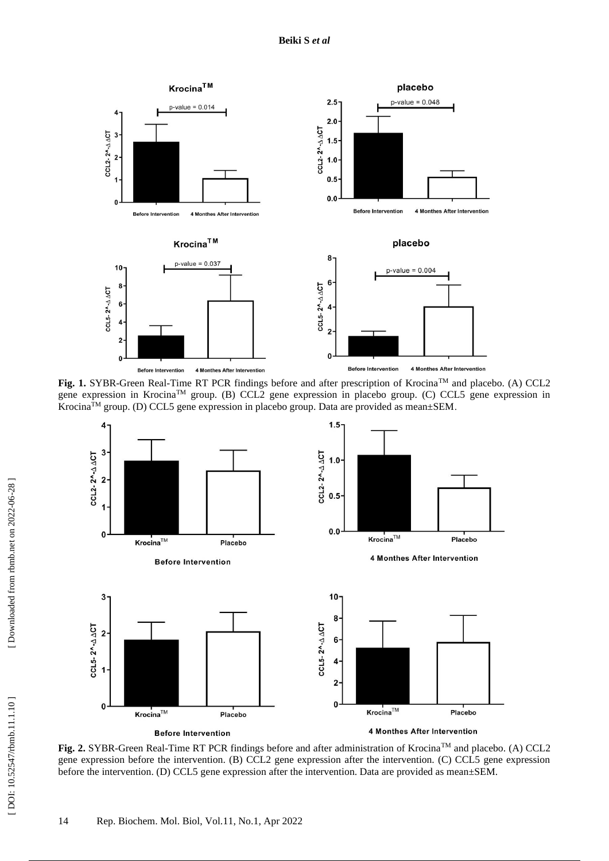

**Fig. 1.** SYBR-Green Real-Time RT PCR findings before and after prescription of Krocina<sup>TM</sup> and placebo. (A) CCL2 gene expression in KrocinaTM group. (B) CCL2 gene expression in placebo group. (C) CCL5 gene expression in Krocina™ group. (D) CCL5 gene expression in placebo group. Data are provided as mean±SEM.



**Fig. 2.** SYBR-Green Real-Time RT PCR findings before and after administration of Krocina<sup>TM</sup> and placebo. (A) CCL2 gene expression before the intervention. (B) CCL2 gene expression after the intervention. (C) CCL5 gene expression before the intervention. (D) CCL5 gene expression after the intervention. Data are provided as mean±SEM.

[DOI: 10.52547/rbmb.11.1.10]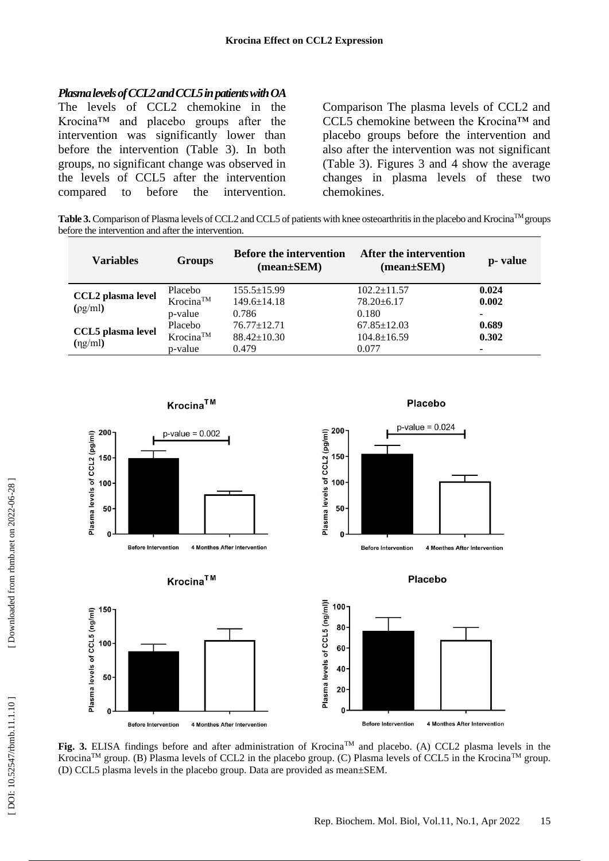#### *Plasma levels of CCL2 and CCL5 in patients with OA*

The levels of CCL2 chemokine in the Krocina™ and placebo groups after the intervention was significantly lower than before the intervention (Table 3). In both groups, no significant change was observed in the levels of CCL5 after the intervention compared to before the intervention. Comparison The plasma levels of CCL2 and CCL5 chemokine between the Krocina™ and placebo groups before the intervention and also after the intervention was not significant (Table 3). Figures 3 and 4 show the average changes in plasma levels of these two chemokines.

Table 3. Comparison of Plasma levels of CCL2 and CCL5 of patients with knee osteoarthritis in the placebo and Krocina<sup>TM</sup> groups before the intervention and after the intervention.

| <b>Variables</b>                          | <b>Groups</b>                             | <b>Before the intervention</b><br>$(mean \pm SEM)$ | After the intervention<br>$(mean \pm SEM)$      | p- value                 |
|-------------------------------------------|-------------------------------------------|----------------------------------------------------|-------------------------------------------------|--------------------------|
| <b>CCL2</b> plasma level<br>$(\rho g/ml)$ | Placebo<br>$K$ rocina <sup>TM</sup>       | $155.5 \pm 15.99$<br>$149.6 \pm 14.18$<br>0.786    | $102.2 \pm 11.57$<br>$78.20 \pm 6.17$<br>0.180  | 0.024<br>0.002           |
| <b>CCL5</b> plasma level<br>$(\eta g/ml)$ | p-value<br>Placebo<br>Krocina™<br>p-value | $76.77 \pm 12.71$<br>$88.42 \pm 10.30$<br>0.479    | $67.85 \pm 12.03$<br>$104.8 \pm 16.59$<br>0.077 | ۰<br>0.689<br>0.302<br>۰ |



**Fig. 3.** ELISA findings before and after administration of Krocina™ and placebo. (A) CCL2 plasma levels in the Krocina<sup>TM</sup> group. (B) Plasma levels of CCL2 in the placebo group. (C) Plasma levels of CCL5 in the Krocina<sup>TM</sup> group. (D) CCL5 plasma levels in the placebo group. Data are provided as mean±SEM.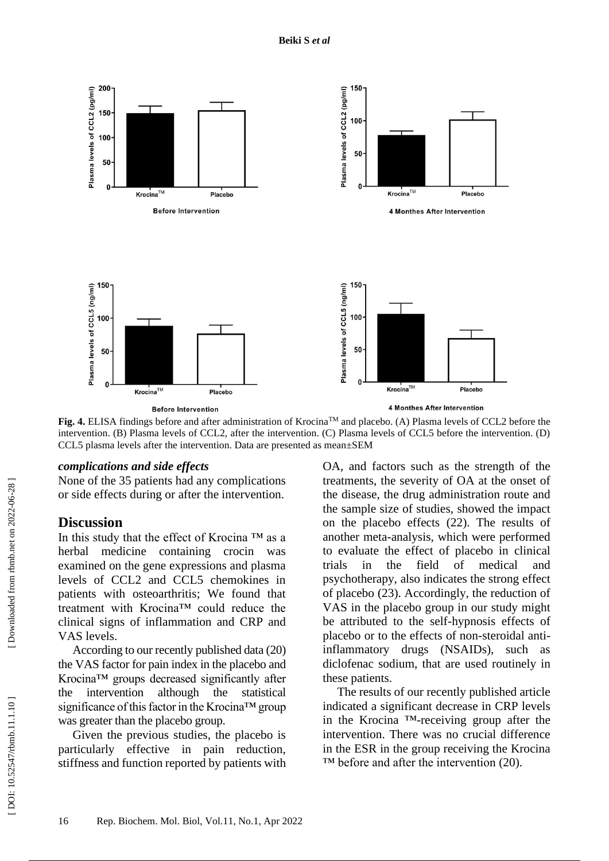

**Fig. 4.** ELISA findings before and after administration of Krocina™ and placebo. (A) Plasma levels of CCL2 before the intervention. (B) Plasma levels of CCL2, after the intervention. (C) Plasma levels of CCL5 before the intervention. (D)

#### *complications and side effects*

None of the 35 patients had any complications or side effects during or after the intervention.

CCL5 plasma levels after the intervention. Data are presented as mean±SEM

#### **Discussion**

In this study that the effect of Krocina ™ as a herbal medicine containing crocin was examined on the gene expressions and plasma levels of CCL2 and CCL5 chemokines in patients with osteoarthritis; We found that treatment with Krocina™ could reduce the clinical signs of inflammation and CRP and VAS levels.

According to our recently published data (20) the VAS factor for pain index in the placebo and Krocina™ groups decreased significantly after the intervention although the statistical significance of this factor in the Krocina™ group was greater than the placebo group.

Given the previous studies, the placebo is particularly effective in pain reduction, stiffness and function reported by patients with OA, and factors such as the strength of the treatments, the severity of OA at the onset of the disease, the drug administration route and the sample size of studies, showed the impact on the placebo effects (22). The results of another meta -analysis, which were performed to evaluate the effect of placebo in clinical trials in the field of medical psychotherapy, also indicates the strong effect of placebo (23). Accordingly, the reduction of VAS in the placebo group in our study might be attributed to the self -hypnosis effects of placebo or to the effects of non -steroidal anti inflammatory drugs (NSAIDs), such diclofenac sodium, that are used routinely in these patients.

The results of our recently published article indicated a significant decrease in CRP levels in the Krocina ™ -receiving group after the intervention. There was no crucial difference in the ESR in the group receiving the Krocina  $TM$  before and after the intervention (20).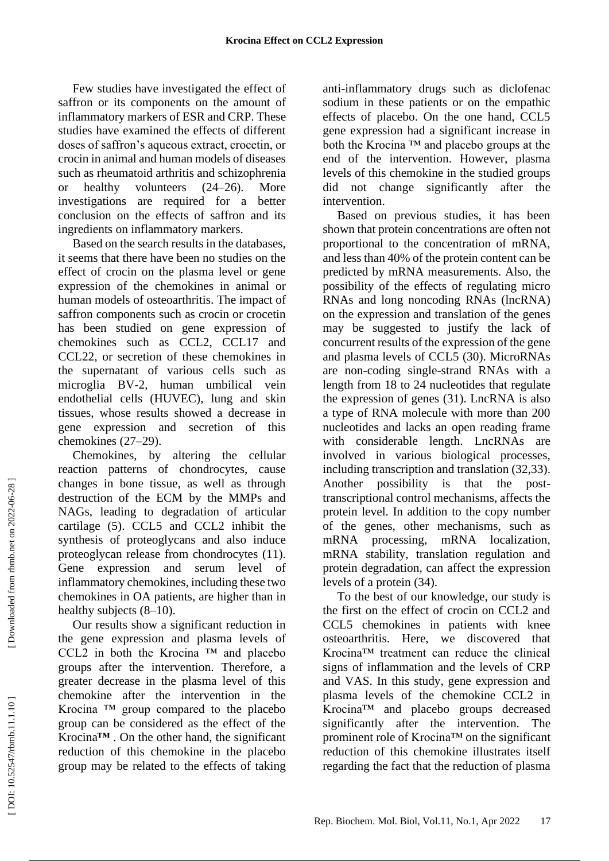Few studies have investigated the effect of saffron or its components on the amount of inflammatory markers of ESR and CRP. These studies have examined the effects of different doses of saffron's aqueous extract, crocetin, or crocin in animal and human models of diseases such as rheumatoid arthritis and schizophrenia or healthy volunteers  $(24-26)$ . More investigations are required for a better conclusion on the effects of saffron and its ingredients on inflammatory markers.

Based on the search results in the databases, it seems that there have been no studies on the effect of crocin on the plasma level or gene expression of the chemokines in animal or human models of osteoarthritis. The impact of saffron components such as crocin or crocetin has been studied on gene expression of chemokines such as CCL2, CCL17 and CCL22, or secretion of these chemokines in the supernatant of various cells such as microglia BV -2, human umbilical vein endothelial cells (HUVEC), lung and skin tissues, whose results showed a decrease in gene expression and secretion of this chemokines (27 –29) .

Chemokines, by altering the cellular reaction patterns of chondrocytes, cause changes in bone tissue, as well as through destruction of the ECM by the MMPs and NAGs, leading to degradation of articular cartilage (5). CCL5 and CCL2 inhibit the synthesis of proteoglycans and also induce proteoglycan release from chondrocytes (11) . Gene expression and serum level of inflammatory chemokines, including these two chemokines in OA patients, are higher than in healthy subjects (8–10).

Our results show a significant reduction in the gene expression and plasma levels of CCL2 in both the Krocina ™ and placebo groups after the intervention. Therefore, a greater decrease in the plasma level of this chemokine after the intervention in the Krocina ™ group compared to the placebo group can be considered as the effect of the Krocina **™** . On the other hand, the significant reduction of this chemokine in the placebo group may be related to the effects of taking

anti -inflammatory drugs such as diclofenac sodium in these patients or on the empathic effects of placebo. On the one hand, CCL5 gene expression had a significant increase in both the Krocina ™ and placebo groups at the end of the intervention. However, plasma levels of this chemokine in the studied groups did not change significantly after the intervention.

Based on previous studies, it has been shown that protein concentrations are often not proportional to the concentration of mRNA, and less than 40% of the protein content can be predicted by mRNA measurements. Also, the possibility of the effects of regulating micro RNAs and long noncoding RNAs (lncRNA) on the expression and translation of the genes may be suggested to justify the lack of concurrent results of the expression of the gene and plasma levels of CCL5 (3 0 ). MicroRNAs are non -coding single -strand RNAs with a length from 18 to 24 nucleotides that regulate the expression of genes (3 1 ). LncRNA is also a type of RNA molecule with more than 200 nucleotides and lacks an open reading frame with considerable length. LncRNAs are involved in various biological processes, including transcription and translation (3 2,3 3 ). Another possibility is that the posttranscriptional control mechanisms, affects the protein level. In addition to the copy number of the genes, other mechanisms, such as mRNA processing, mRNA localization, mRNA stability, translation regulation and protein degradation, can affect the expression levels of a protein (3 4 ) .

To the best of our knowledge, our study is the first on the effect of crocin on CCL2 and CCL5 chemokines in patients with knee osteoarthritis. Here, we discovered that Krocina™ treatment can reduce the clinical signs of inflammation and the levels of CRP and VAS. In this study, gene expression and plasma levels of the chemokine CCL2 in Krocina™ and placebo groups decreased significantly after the intervention. The prominent role of Krocina™ on the significant reduction of this chemokine illustrates itself regarding the fact that the reduction of plasma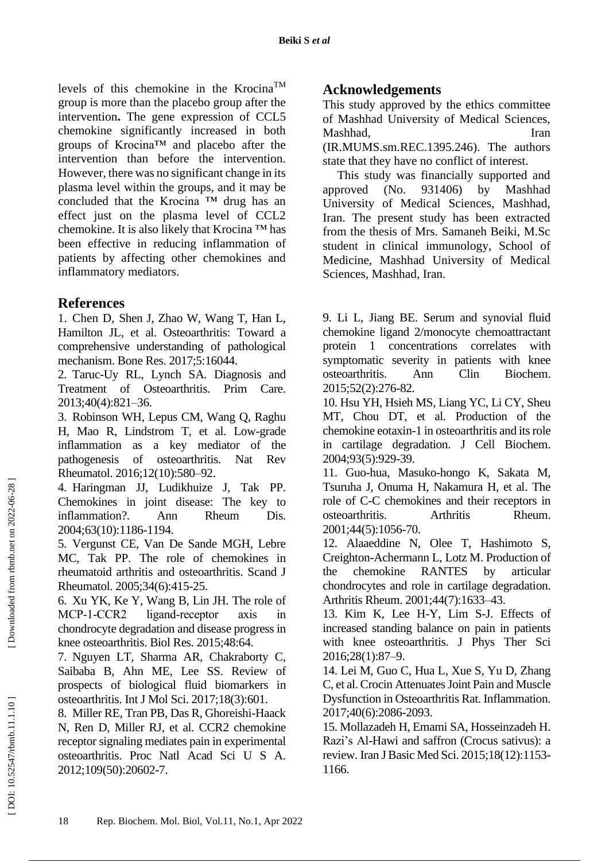levels of this chemokine in the KrocinaTM group is more than the placebo group after the intervention **.** The gene expression of CCL5 chemokine significantly increased in both groups of Krocina™ and placebo after the intervention than before the intervention. However, there was no significant change in its plasma level within the groups, and it may be concluded that the Krocina ™ drug has an effect just on the plasma level of CCL2 chemokine. It is also likely that Krocina ™ has been effective in reducing inflammation of patients by affecting other chemokines and inflammatory mediators.

# **References**

1. Chen D, Shen J, Zhao W, Wang T, Han L, Hamilton JL, et al. Osteoarthritis: Toward a comprehensive understanding of pathological mechanism. Bone Res. 2017;5:16044.

2. Taruc -Uy RL, Lynch SA. Diagnosis and Treatment of Osteoarthritis. Prim Care. 2013;40(4):821 –36.

3. Robinson WH, Lepus CM, Wang Q, Raghu H, Mao R, Lindstrom T, et al. Low -grade inflammation as a key mediator of the pathogenesis of osteoarthritis. Nat Rev Rheumatol. 2016;12(10):580–92.

4. Haringman JJ, Ludikhuize J, Tak PP. Chemokines in joint disease: The key to inflammation?. Ann Rheum Dis. 2004;63(10):1186 -1194.

5. Vergunst CE, Van De Sande MGH, Lebre MC, Tak PP. The role of chemokines in rheumatoid arthritis and osteoarthritis. Scand J Rheumatol. 2005;34(6):415 -25.

6. Xu YK, Ke Y, Wang B, Lin JH. The role of MCP-1-CCR2 ligand-receptor axis in chondrocyte degradation and disease progress in knee osteoarthritis. Biol Res. 2015;48:64.

7. Nguyen LT, Sharma AR, Chakraborty C, Saibaba B, Ahn ME, Lee SS. Review of prospects of biological fluid biomarkers in osteoarthritis. Int J Mol Sci. 2017;18(3):601.

8. Miller RE, Tran PB, Das R, Ghoreishi -Haack N, Ren D, Miller RJ, et al. CCR2 chemokine receptor signaling mediates pain in experimental osteoarthritis. Proc Natl Acad Sci U S A. 2012;109(50):20602 -7.

# **Acknowledgements**

This study approved by the ethics committee of Mashhad University of Medical Sciences, Mashhad, Iran (IR.MUMS.sm.REC.1395.246). The authors

state that they have no conflict of interest.

This study was financially supported and approved (No. 931406) by Mashhad University of Medical Sciences, Mashhad, Iran. The present study has been extracted from the thesis of Mrs. Samaneh Beiki, M.Sc student in clinical immunology, School of Medicine, Mashhad University of Medical Sciences, Mashhad, Iran.

9. Li L, Jiang BE. Serum and synovial fluid chemokine ligand 2/monocyte chemoattractant protein 1 concentrations correlates with symptomatic severity in patients with knee osteoarthritis. Ann Clin Biochem. 2015;52(2):276 -82.

10. Hsu YH, Hsieh MS, Liang YC, Li CY, Sheu MT, Chou DT, et al. Production of the chemokine eotaxin -1 in osteoarthritis and its role in cartilage degradation. J Cell Biochem . 2004;93(5):929 -39.

11. Guo -hua, Masuko -hongo K, Sakata M, Tsuruha J, Onuma H, Nakamura H, et al. The role of C -C chemokines and their receptors in osteoarthritis. Arthritis Rheum. 2001;44(5):1056 -70.

12. Alaaeddine N, Olee T, Hashimoto S, Creighton -Achermann L, Lotz M. Production of the chemokine RANTES by articular chondrocytes and role in cartilage degradation. Arthritis Rheum . 2001;44(7):1633 –43.

13. Kim K, Lee H -Y, Lim S -J. Effects of increased standing balance on pain in patients with knee osteoarthritis. J Phys Ther Sci 2016;28(1):87 –9.

14. Lei M, Guo C, Hua L, Xue S, Yu D, Zhang C, et al. Crocin Attenuates Joint Pain and Muscle Dysfunction in Osteoarthritis Rat. Inflammation . 2017;40(6):2086 -2093.

15. Mollazadeh H, Emami SA, Hosseinzadeh H. Razi's Al -Hawi and saffron (Crocus sativus): a review. Iran J Basic Med Sci . 2015;18(12):1153 - 1166.